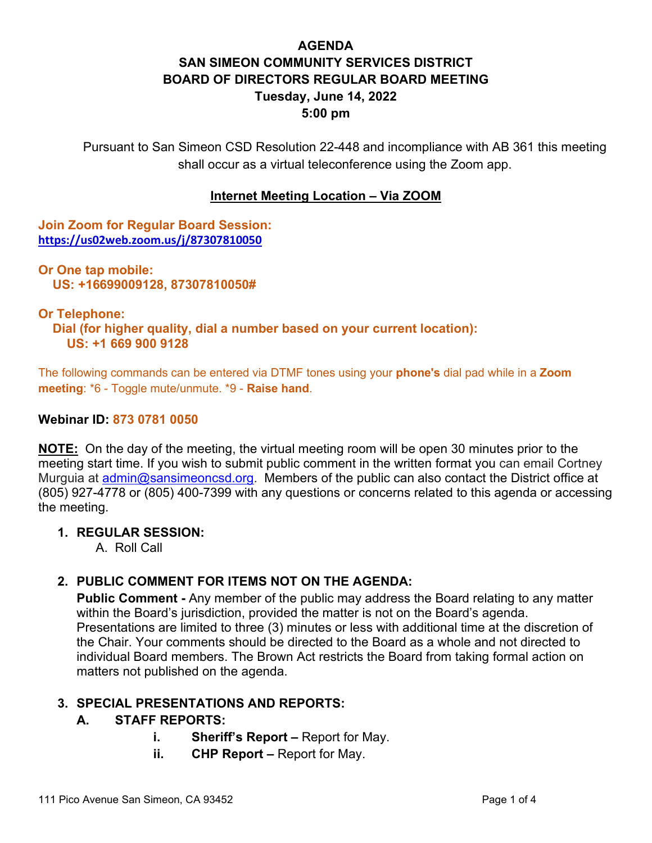# **AGENDA SAN SIMEON COMMUNITY SERVICES DISTRICT BOARD OF DIRECTORS REGULAR BOARD MEETING Tuesday, June 14, 2022 5:00 pm**

Pursuant to San Simeon CSD Resolution 22-448 and incompliance with AB 361 this meeting shall occur as a virtual teleconference using the Zoom app.

### **Internet Meeting Location – Via ZOOM**

**Join Zoom for Regular Board Session: <https://us02web.zoom.us/j/87307810050>**

**Or One tap mobile: US: +16699009128, 87307810050#** 

#### **Or Telephone:**

 **Dial (for higher quality, dial a number based on your current location): US: +1 669 900 9128** 

The following commands can be entered via DTMF tones using your **phone's** dial pad while in a **Zoom meeting**: \*6 - Toggle mute/unmute. \*9 - **Raise hand**.

#### **Webinar ID: 873 0781 0050**

**NOTE:** On the day of the meeting, the virtual meeting room will be open 30 minutes prior to the meeting start time. If you wish to submit public comment in the written format you can email Cortney Murguia at [admin@sansimeoncsd.org.](mailto:admin@sansimeoncsd.org) Members of the public can also contact the District office at (805) 927-4778 or (805) 400-7399 with any questions or concerns related to this agenda or accessing the meeting.

#### **1. REGULAR SESSION:**

A. Roll Call

### **2. PUBLIC COMMENT FOR ITEMS NOT ON THE AGENDA:**

**Public Comment -** Any member of the public may address the Board relating to any matter within the Board's jurisdiction, provided the matter is not on the Board's agenda. Presentations are limited to three (3) minutes or less with additional time at the discretion of the Chair. Your comments should be directed to the Board as a whole and not directed to individual Board members. The Brown Act restricts the Board from taking formal action on matters not published on the agenda.

### **3. SPECIAL PRESENTATIONS AND REPORTS:**

### **A. STAFF REPORTS:**

- **i. Sheriff's Report –** Report for May.
- **ii.** CHP Report Report for May.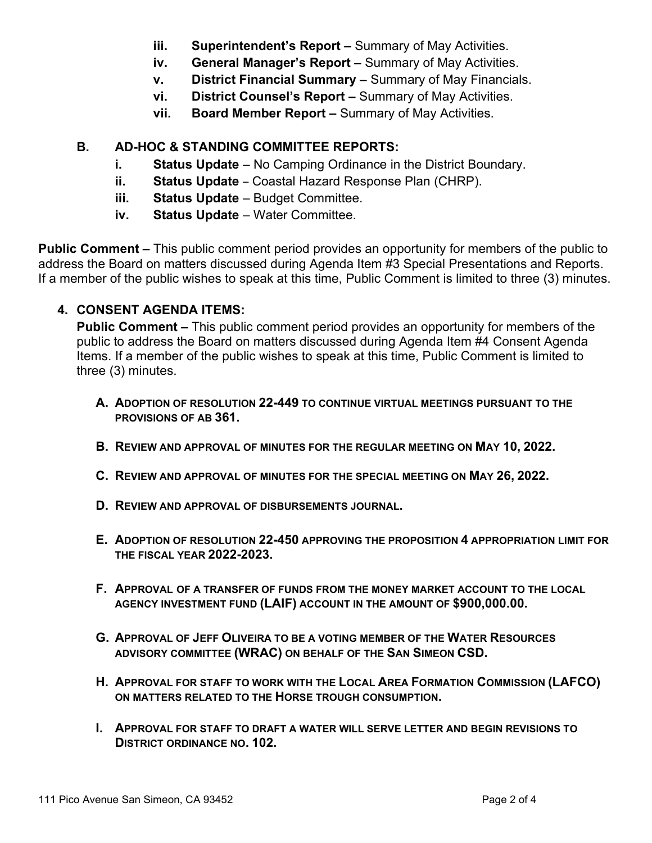- **iii. Superintendent's Report –** Summary of May Activities.
- **iv. General Manager's Report –** Summary of May Activities.
- **v. District Financial Summary –** Summary of May Financials.
- **vi. District Counsel's Report –** Summary of May Activities.
- **vii. Board Member Report –** Summary of May Activities.

## **B. AD-HOC & STANDING COMMITTEE REPORTS:**

- **i. Status Update** No Camping Ordinance in the District Boundary.
- **ii. Status Update**  Coastal Hazard Response Plan (CHRP).
- **iii. Status Update** Budget Committee.
- **iv. Status Update** Water Committee.

**Public Comment –** This public comment period provides an opportunity for members of the public to address the Board on matters discussed during Agenda Item #3 Special Presentations and Reports. If a member of the public wishes to speak at this time, Public Comment is limited to three (3) minutes.

## **4. CONSENT AGENDA ITEMS:**

**Public Comment –** This public comment period provides an opportunity for members of the public to address the Board on matters discussed during Agenda Item #4 Consent Agenda Items. If a member of the public wishes to speak at this time, Public Comment is limited to three (3) minutes.

- **A. ADOPTION OF RESOLUTION 22-449 TO CONTINUE VIRTUAL MEETINGS PURSUANT TO THE PROVISIONS OF AB 361.**
- **B. REVIEW AND APPROVAL OF MINUTES FOR THE REGULAR MEETING ON MAY 10, 2022.**
- **C. REVIEW AND APPROVAL OF MINUTES FOR THE SPECIAL MEETING ON MAY 26, 2022.**
- **D. REVIEW AND APPROVAL OF DISBURSEMENTS JOURNAL.**
- **E. ADOPTION OF RESOLUTION 22-450 APPROVING THE PROPOSITION 4 APPROPRIATION LIMIT FOR THE FISCAL YEAR 2022-2023.**
- **F. APPROVAL OF A TRANSFER OF FUNDS FROM THE MONEY MARKET ACCOUNT TO THE LOCAL AGENCY INVESTMENT FUND (LAIF) ACCOUNT IN THE AMOUNT OF \$900,000.00.**
- **G. APPROVAL OF JEFF OLIVEIRA TO BE A VOTING MEMBER OF THE WATER RESOURCES ADVISORY COMMITTEE (WRAC) ON BEHALF OF THE SAN SIMEON CSD.**
- **H. APPROVAL FOR STAFF TO WORK WITH THE LOCAL AREA FORMATION COMMISSION (LAFCO) ON MATTERS RELATED TO THE HORSE TROUGH CONSUMPTION.**
- **I. APPROVAL FOR STAFF TO DRAFT A WATER WILL SERVE LETTER AND BEGIN REVISIONS TO DISTRICT ORDINANCE NO. 102.**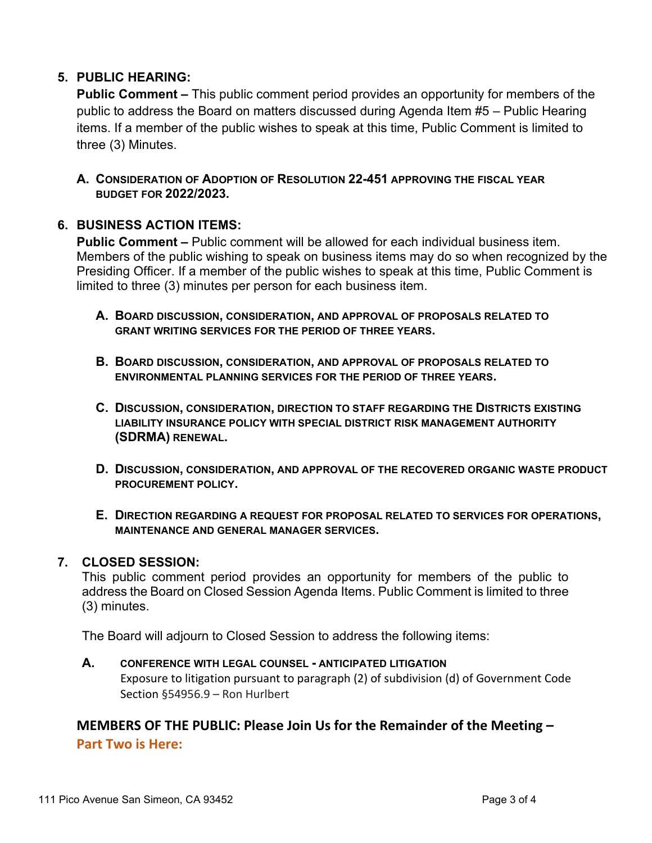### **5. PUBLIC HEARING:**

**Public Comment –** This public comment period provides an opportunity for members of the public to address the Board on matters discussed during Agenda Item #5 – Public Hearing items. If a member of the public wishes to speak at this time, Public Comment is limited to three (3) Minutes.

**A. CONSIDERATION OF ADOPTION OF RESOLUTION 22-451 APPROVING THE FISCAL YEAR BUDGET FOR 2022/2023.**

### **6. BUSINESS ACTION ITEMS:**

**Public Comment –** Public comment will be allowed for each individual business item. Members of the public wishing to speak on business items may do so when recognized by the Presiding Officer. If a member of the public wishes to speak at this time, Public Comment is limited to three (3) minutes per person for each business item.

- **A. BOARD DISCUSSION, CONSIDERATION, AND APPROVAL OF PROPOSALS RELATED TO GRANT WRITING SERVICES FOR THE PERIOD OF THREE YEARS.**
- **B. BOARD DISCUSSION, CONSIDERATION, AND APPROVAL OF PROPOSALS RELATED TO ENVIRONMENTAL PLANNING SERVICES FOR THE PERIOD OF THREE YEARS.**
- **C. DISCUSSION, CONSIDERATION, DIRECTION TO STAFF REGARDING THE DISTRICTS EXISTING LIABILITY INSURANCE POLICY WITH SPECIAL DISTRICT RISK MANAGEMENT AUTHORITY (SDRMA) RENEWAL.**
- **D. DISCUSSION, CONSIDERATION, AND APPROVAL OF THE RECOVERED ORGANIC WASTE PRODUCT PROCUREMENT POLICY.**
- **E. DIRECTION REGARDING A REQUEST FOR PROPOSAL RELATED TO SERVICES FOR OPERATIONS, MAINTENANCE AND GENERAL MANAGER SERVICES.**

#### **7. CLOSED SESSION:**

This public comment period provides an opportunity for members of the public to address the Board on Closed Session Agenda Items. Public Comment is limited to three (3) minutes.

The Board will adjourn to Closed Session to address the following items:

### **A. CONFERENCE WITH LEGAL COUNSEL - ANTICIPATED LITIGATION**

Exposure to litigation pursuant to paragraph (2) of subdivision (d) of Government Code Section §54956.9 – Ron Hurlbert

## **MEMBERS OF THE PUBLIC: Please Join Us for the Remainder of the Meeting – Part Two is Here:**